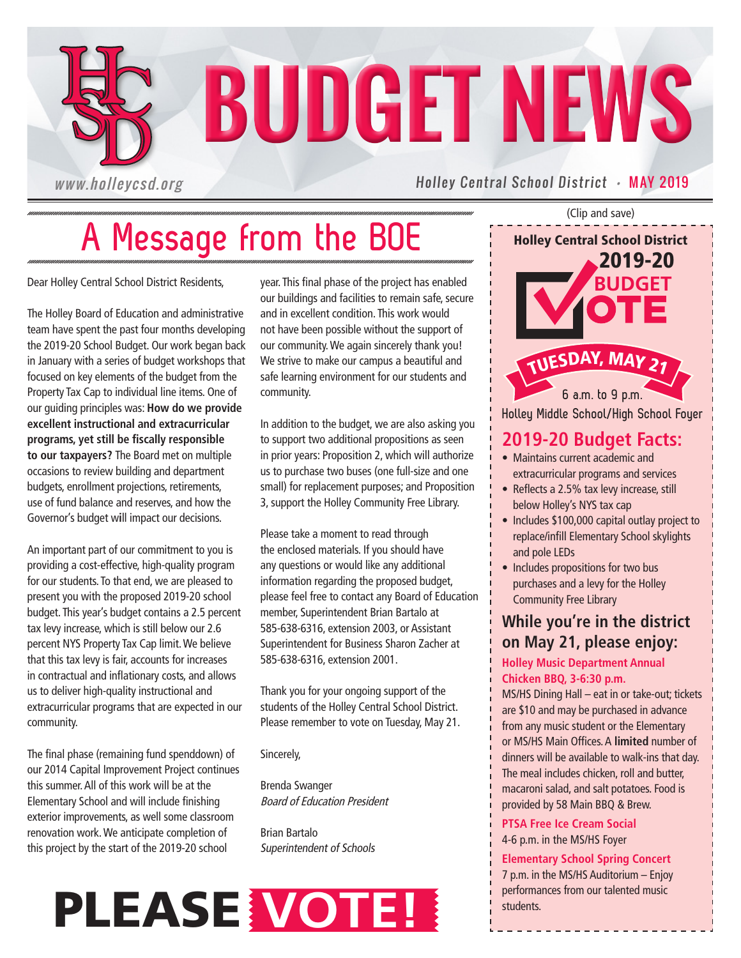

# **A Message from the BOE**

Dear Holley Central School District Residents,

The Holley Board of Education and administrative team have spent the past four months developing the 2019-20 School Budget. Our work began back in January with a series of budget workshops that focused on key elements of the budget from the Property Tax Cap to individual line items. One of our guiding principles was: **How do we provide excellent instructional and extracurricular programs, yet still be fiscally responsible to our taxpayers?** The Board met on multiple occasions to review building and department budgets, enrollment projections, retirements, use of fund balance and reserves, and how the Governor's budget w**i**ll impact our decisions.

An important part of our commitment to you is providing a cost-effective, high-quality program for our students. To that end, we are pleased to present you with the proposed 2019-20 school budget. This year's budget contains a 2.5 percent tax levy increase, which is still below our 2.6 percent NYS Property Tax Cap limit. We believe that this tax levy is fair, accounts for increases in contractual and inflationary costs, and allows us to deliver high-quality instructional and extracurricular programs that are expected in our community.

The final phase (remaining fund spenddown) of our 2014 Capital Improvement Project continues this summer. All of this work will be at the Elementary School and will include finishing exterior improvements, as well some classroom renovation work. We anticipate completion of this project by the start of the 2019-20 school

year. This final phase of the project has enabled our buildings and facilities to remain safe, secure and in excellent condition. This work would not have been possible without the support of our community. We again sincerely thank you! We strive to make our campus a beautiful and safe learning environment for our students and community.

In addition to the budget, we are also asking you to support two additional propositions as seen in prior years: Proposition 2, which will authorize us to purchase two buses (one full-size and one small) for replacement purposes; and Proposition 3, support the Holley Community Free Library.

Please take a moment to read through the enclosed materials. If you should have any questions or would like any additional information regarding the proposed budget, please feel free to contact any Board of Education member, Superintendent Brian Bartalo at 585-638-6316, extension 2003, or Assistant Superintendent for Business Sharon Zacher at 585-638-6316, extension 2001.

Thank you for your ongoing support of the students of the Holley Central School District. Please remember to vote on Tuesday, May 21.

Sincerely,

Brenda Swanger Board of Education President

Brian Bartalo Superintendent of Schools



(Clip and save)

Holley Central School District

2019-20

**6 a.m. to 9 p.m. BUDGET** <sup>T</sup>UESDAY, <sup>M</sup>A<sup>Y</sup> <sup>2</sup><sup>1</sup>

**Holley Middle School/High School Foyer**

## **2019-20 Budget Facts:**

- Maintains current academic and extracurricular programs and services
- Reflects a 2.5% tax levy increase, still below Holley's NYS tax cap
- Includes \$100,000 capital outlay project to replace/infill Elementary School skylights and pole LEDs
- Includes propositions for two bus purchases and a levy for the Holley Community Free Library

## **While you're in the district on May 21, please enjoy:**

#### **Holley Music Department Annual Chicken BBQ, 3-6:30 p.m.**

MS/HS Dining Hall – eat in or take-out; tickets are \$10 and may be purchased in advance from any music student or the Elementary or MS/HS Main Offices. A **limited** number of dinners will be available to walk-ins that day. The meal includes chicken, roll and butter, macaroni salad, and salt potatoes. Food is provided by 58 Main BBQ & Brew.

**PTSA Free Ice Cream Social**  4-6 p.m. in the MS/HS Foyer

#### **Elementary School Spring Concert**

7 p.m. in the MS/HS Auditorium – Enjoy performances from our talented music students.

\_\_\_\_\_\_\_\_\_\_\_\_\_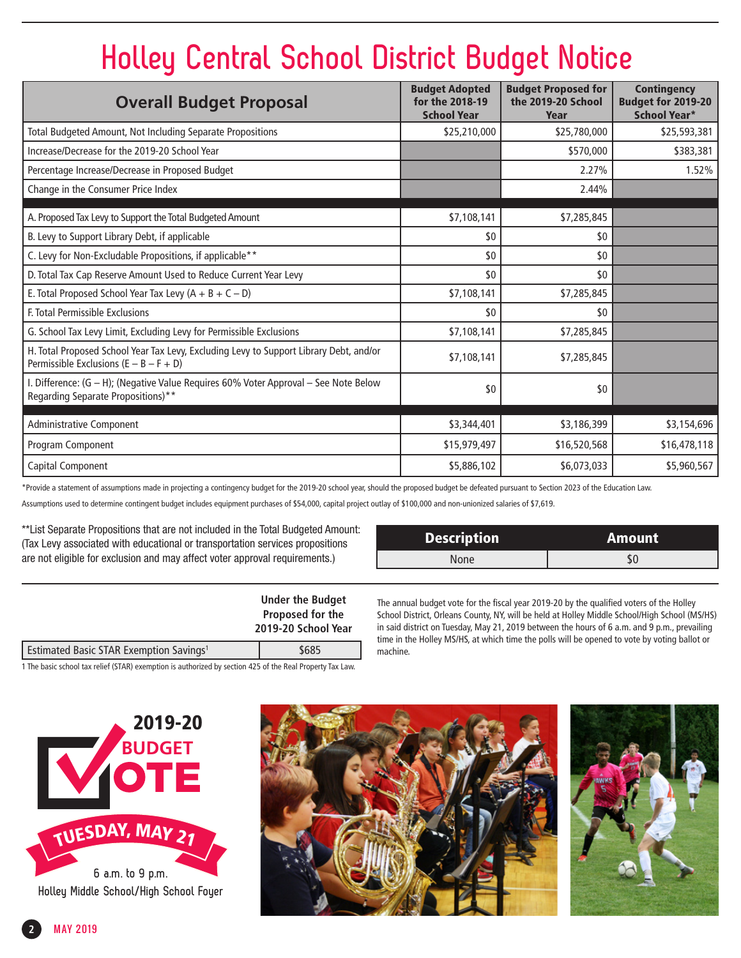# **Holley Central School District Budget Notice**

| <b>Overall Budget Proposal</b>                                                                                                     | <b>Budget Adopted</b><br>for the 2018-19<br><b>School Year</b> | <b>Budget Proposed for</b><br>the 2019-20 School<br>Year | <b>Contingency</b><br>Budget for 2019-20<br><b>School Year*</b> |
|------------------------------------------------------------------------------------------------------------------------------------|----------------------------------------------------------------|----------------------------------------------------------|-----------------------------------------------------------------|
| Total Budgeted Amount, Not Including Separate Propositions                                                                         | \$25,210,000                                                   | \$25,780,000                                             | \$25,593,381                                                    |
| Increase/Decrease for the 2019-20 School Year                                                                                      |                                                                | \$570,000                                                | \$383,381                                                       |
| Percentage Increase/Decrease in Proposed Budget                                                                                    |                                                                | 2.27%                                                    | 1.52%                                                           |
| Change in the Consumer Price Index                                                                                                 |                                                                | 2.44%                                                    |                                                                 |
| A. Proposed Tax Levy to Support the Total Budgeted Amount                                                                          | \$7,108,141                                                    | \$7,285,845                                              |                                                                 |
| B. Levy to Support Library Debt, if applicable                                                                                     | \$0                                                            | \$0                                                      |                                                                 |
| C. Levy for Non-Excludable Propositions, if applicable**                                                                           | \$0                                                            | \$0                                                      |                                                                 |
| D. Total Tax Cap Reserve Amount Used to Reduce Current Year Levy                                                                   | \$0                                                            | \$0                                                      |                                                                 |
| E. Total Proposed School Year Tax Levy $(A + B + C - D)$                                                                           | \$7,108,141                                                    | \$7,285,845                                              |                                                                 |
| F. Total Permissible Exclusions                                                                                                    | \$0                                                            | \$0                                                      |                                                                 |
| G. School Tax Levy Limit, Excluding Levy for Permissible Exclusions                                                                | \$7,108,141                                                    | \$7,285,845                                              |                                                                 |
| H. Total Proposed School Year Tax Levy, Excluding Levy to Support Library Debt, and/or<br>Permissible Exclusions $(E - B - F + D)$ | \$7,108,141                                                    | \$7,285,845                                              |                                                                 |
| I. Difference: (G - H); (Negative Value Requires 60% Voter Approval - See Note Below<br>Regarding Separate Propositions)**         | \$0                                                            | \$0                                                      |                                                                 |
| Administrative Component                                                                                                           | \$3,344,401                                                    | \$3,186,399                                              | \$3,154,696                                                     |
| Program Component                                                                                                                  | \$15,979,497                                                   | \$16,520,568                                             | \$16,478,118                                                    |
| Capital Component                                                                                                                  | \$5,886,102                                                    | \$6,073,033                                              | \$5,960,567                                                     |

\*Provide a statement of assumptions made in projecting a contingency budget for the 2019-20 school year, should the proposed budget be defeated pursuant to Section 2023 of the Education Law.

Assumptions used to determine contingent budget includes equipment purchases of \$54,000, capital project outlay of \$100,000 and non-unionized salaries of \$7,619.

\*\*List Separate Propositions that are not included in the Total Budgeted Amount: (Tax Levy associated with educational or transportation services propositions are not eligible for exclusion and may affect voter approval requirements.)

| <b>Description</b> | Amount |
|--------------------|--------|
| None               |        |

|                                                     | <b>Under the Budget</b><br>Proposed for the<br>2019-20 School Year |  |
|-----------------------------------------------------|--------------------------------------------------------------------|--|
|                                                     |                                                                    |  |
| Estimated Basic STAR Exemption Savings <sup>1</sup> | \$685                                                              |  |

1 The basic school tax relief (STAR) exemption is authorized by section 425 of the Real Property Tax Law.

The annual budget vote for the fiscal year 2019-20 by the qualified voters of the Holley School District, Orleans County, NY, will be held at Holley Middle School/High School (MS/HS) in said district on Tuesday, May 21, 2019 between the hours of 6 a.m. and 9 p.m., prevailing time in the Holley MS/HS, at which time the polls will be opened to vote by voting ballot or machine.





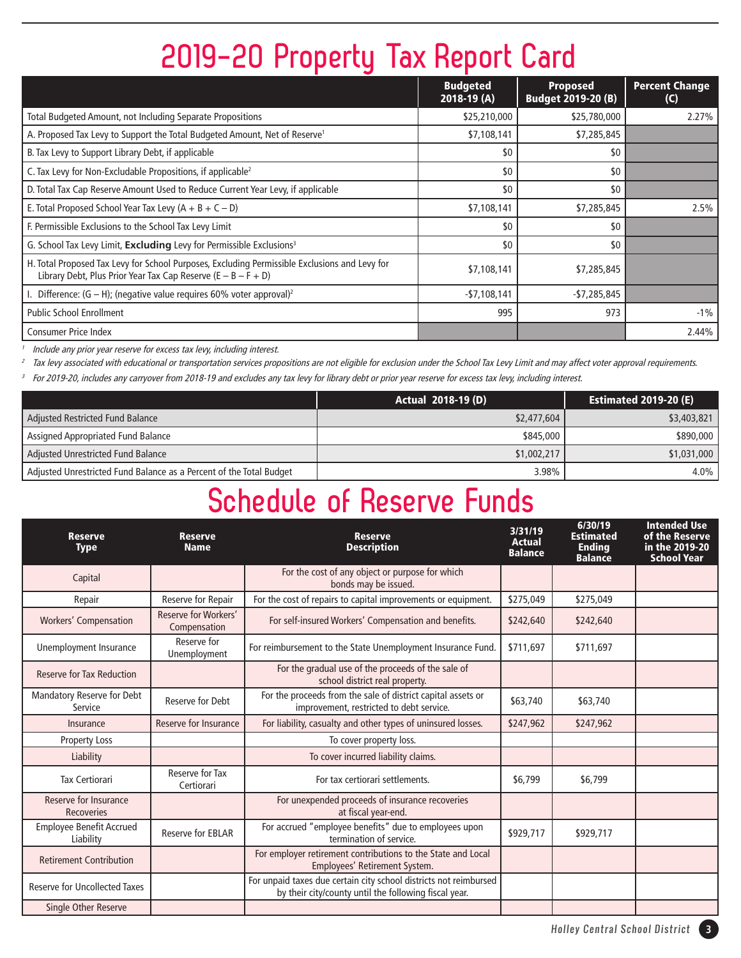# **2019-20 Property Tax Report Card**

|                                                                                                                                                                  | <b>Budgeted</b><br>$2018-19(A)$ | <b>Proposed</b><br><b>Budget 2019-20 (B)</b> | <b>Percent Change</b><br>(C) |
|------------------------------------------------------------------------------------------------------------------------------------------------------------------|---------------------------------|----------------------------------------------|------------------------------|
| Total Budgeted Amount, not Including Separate Propositions                                                                                                       | \$25,210,000                    | \$25,780,000                                 | 2.27%                        |
| A. Proposed Tax Levy to Support the Total Budgeted Amount, Net of Reserve <sup>1</sup>                                                                           | \$7,108,141                     | \$7,285,845                                  |                              |
| B. Tax Levy to Support Library Debt, if applicable                                                                                                               | \$0                             | \$0                                          |                              |
| C. Tax Levy for Non-Excludable Propositions, if applicable <sup>2</sup>                                                                                          | \$0                             | \$0                                          |                              |
| D. Total Tax Cap Reserve Amount Used to Reduce Current Year Levy, if applicable                                                                                  | \$0                             | \$0                                          |                              |
| E. Total Proposed School Year Tax Levy $(A + B + C - D)$                                                                                                         | \$7,108,141                     | \$7,285,845                                  | 2.5%                         |
| F. Permissible Exclusions to the School Tax Levy Limit                                                                                                           | \$0                             | \$0                                          |                              |
| G. School Tax Levy Limit, Excluding Levy for Permissible Exclusions <sup>3</sup>                                                                                 | \$0                             | \$0                                          |                              |
| H. Total Proposed Tax Levy for School Purposes, Excluding Permissible Exclusions and Levy for<br>Library Debt, Plus Prior Year Tax Cap Reserve $(E - B - F + D)$ | \$7,108,141                     | \$7,285,845                                  |                              |
| Difference: $(G - H)$ ; (negative value requires 60% voter approval) <sup>2</sup>                                                                                | $-57,108,141$                   | $-$7,285,845$                                |                              |
| <b>Public School Enrollment</b>                                                                                                                                  | 995                             | 973                                          | $-1\%$                       |
| <b>Consumer Price Index</b>                                                                                                                                      |                                 |                                              | 2.44%                        |

Include any prior year reserve for excess tax levy, including interest.

<sup>2</sup> Tax levy associated with educational or transportation services propositions are not eligible for exclusion under the School Tax Levy Limit and may affect voter approval requirements.

<sup>3</sup> For 2019-20, includes any carryover from 2018-19 and excludes any tax levy for library debt or prior year reserve for excess tax levy, including interest.

|                                                                     | <b>Actual 2018-19 (D)</b> | <b>Estimated 2019-20 (E)</b> |
|---------------------------------------------------------------------|---------------------------|------------------------------|
| Adjusted Restricted Fund Balance                                    | \$2,477,604               | \$3,403,821                  |
| Assigned Appropriated Fund Balance                                  | \$845,000                 | \$890,000                    |
| Adjusted Unrestricted Fund Balance                                  | \$1,002,217               | \$1,031,000                  |
| Adjusted Unrestricted Fund Balance as a Percent of the Total Budget | 3.98%                     | $4.0\%$                      |

# **Schedule of Reserve Funds**

| Reserve<br><b>Type</b>                       | <b>Reserve</b><br><b>Name</b>        | <b>Reserve</b><br><b>Description</b>                                                                                       | 3/31/19<br><b>Actual</b><br><b>Balance</b> | 6/30/19<br><b>Estimated</b><br><b>Ending</b><br><b>Balance</b> | <b>Intended Use</b><br>of the Reserve<br>in the 2019-20<br><b>School Year</b> |
|----------------------------------------------|--------------------------------------|----------------------------------------------------------------------------------------------------------------------------|--------------------------------------------|----------------------------------------------------------------|-------------------------------------------------------------------------------|
| Capital                                      |                                      | For the cost of any object or purpose for which<br>bonds may be issued.                                                    |                                            |                                                                |                                                                               |
| Repair                                       | Reserve for Repair                   | For the cost of repairs to capital improvements or equipment.                                                              | \$275,049                                  | \$275,049                                                      |                                                                               |
| <b>Workers' Compensation</b>                 | Reserve for Workers'<br>Compensation | For self-insured Workers' Compensation and benefits.                                                                       | \$242,640                                  | \$242,640                                                      |                                                                               |
| Unemployment Insurance                       | Reserve for<br>Unemployment          | For reimbursement to the State Unemployment Insurance Fund.                                                                | \$711.697                                  | \$711,697                                                      |                                                                               |
| <b>Reserve for Tax Reduction</b>             |                                      | For the gradual use of the proceeds of the sale of<br>school district real property.                                       |                                            |                                                                |                                                                               |
| <b>Mandatory Reserve for Debt</b><br>Service | Reserve for Debt                     | For the proceeds from the sale of district capital assets or<br>improvement, restricted to debt service.                   | \$63,740                                   | \$63,740                                                       |                                                                               |
| Insurance                                    | Reserve for Insurance                | For liability, casualty and other types of uninsured losses.                                                               | \$247,962                                  | \$247,962                                                      |                                                                               |
| Property Loss                                |                                      | To cover property loss.                                                                                                    |                                            |                                                                |                                                                               |
| Liability                                    |                                      | To cover incurred liability claims.                                                                                        |                                            |                                                                |                                                                               |
| <b>Tax Certiorari</b>                        | Reserve for Tax<br>Certiorari        | For tax certiorari settlements.                                                                                            | \$6,799                                    | \$6,799                                                        |                                                                               |
| Reserve for Insurance<br><b>Recoveries</b>   |                                      | For unexpended proceeds of insurance recoveries<br>at fiscal year-end.                                                     |                                            |                                                                |                                                                               |
| <b>Employee Benefit Accrued</b><br>Liability | <b>Reserve for EBLAR</b>             | For accrued "employee benefits" due to employees upon<br>termination of service.                                           | \$929,717                                  | \$929,717                                                      |                                                                               |
| <b>Retirement Contribution</b>               |                                      | For employer retirement contributions to the State and Local<br>Employees' Retirement System.                              |                                            |                                                                |                                                                               |
| <b>Reserve for Uncollected Taxes</b>         |                                      | For unpaid taxes due certain city school districts not reimbursed<br>by their city/county until the following fiscal year. |                                            |                                                                |                                                                               |
| <b>Single Other Reserve</b>                  |                                      |                                                                                                                            |                                            |                                                                |                                                                               |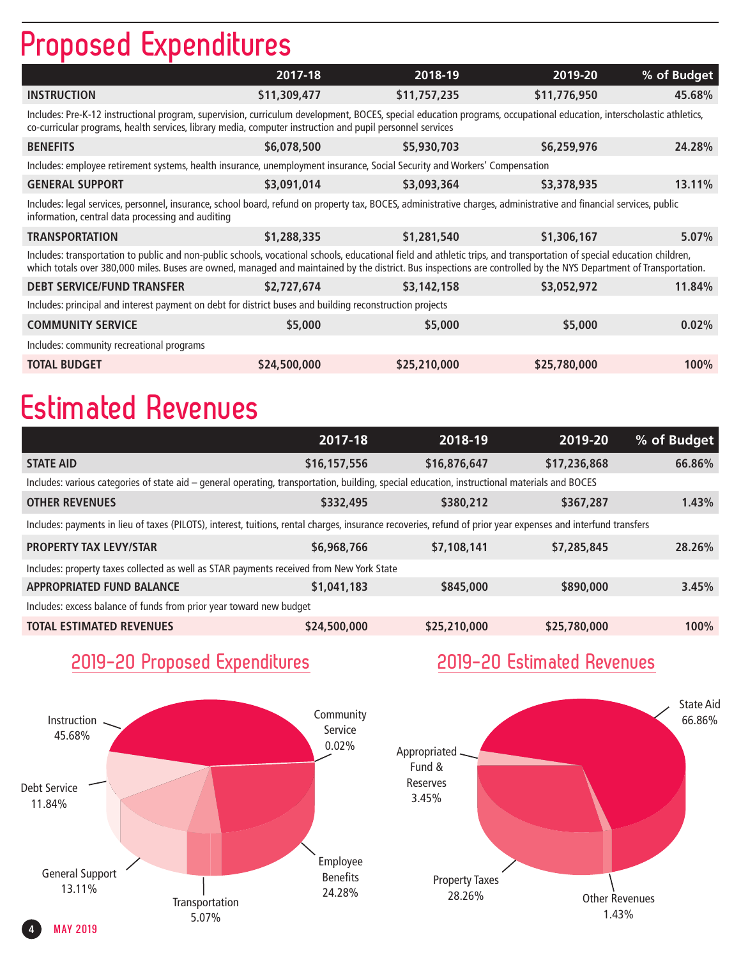# **Proposed Expenditures**

|                                                                                                                                                                                                                                                                                                                                             | 2017-18      | 2018-19      | 2019-20      | % of Budget |  |  |  |
|---------------------------------------------------------------------------------------------------------------------------------------------------------------------------------------------------------------------------------------------------------------------------------------------------------------------------------------------|--------------|--------------|--------------|-------------|--|--|--|
| <b>INSTRUCTION</b>                                                                                                                                                                                                                                                                                                                          | \$11,309,477 | \$11,757,235 | \$11,776,950 | 45.68%      |  |  |  |
| Includes: Pre-K-12 instructional program, supervision, curriculum development, BOCES, special education programs, occupational education, interscholastic athletics,<br>co-curricular programs, health services, library media, computer instruction and pupil personnel services                                                           |              |              |              |             |  |  |  |
| <b>BENEFITS</b>                                                                                                                                                                                                                                                                                                                             | \$6,078,500  | \$5,930,703  | \$6,259,976  | 24.28%      |  |  |  |
| Includes: employee retirement systems, health insurance, unemployment insurance, Social Security and Workers' Compensation                                                                                                                                                                                                                  |              |              |              |             |  |  |  |
| <b>GENERAL SUPPORT</b>                                                                                                                                                                                                                                                                                                                      | \$3,091,014  | \$3,093,364  | \$3,378,935  | 13.11%      |  |  |  |
| Includes: legal services, personnel, insurance, school board, refund on property tax, BOCES, administrative charges, administrative and financial services, public<br>information, central data processing and auditing                                                                                                                     |              |              |              |             |  |  |  |
| <b>TRANSPORTATION</b>                                                                                                                                                                                                                                                                                                                       | \$1,288,335  | \$1,281,540  | \$1,306,167  | 5.07%       |  |  |  |
| Includes: transportation to public and non-public schools, vocational schools, educational field and athletic trips, and transportation of special education children,<br>which totals over 380,000 miles. Buses are owned, managed and maintained by the district. Bus inspections are controlled by the NYS Department of Transportation. |              |              |              |             |  |  |  |
| <b>DEBT SERVICE/FUND TRANSFER</b>                                                                                                                                                                                                                                                                                                           | \$2,727,674  | \$3,142,158  | \$3,052,972  | 11.84%      |  |  |  |
| Includes: principal and interest payment on debt for district buses and building reconstruction projects                                                                                                                                                                                                                                    |              |              |              |             |  |  |  |
| <b>COMMUNITY SERVICE</b>                                                                                                                                                                                                                                                                                                                    | \$5,000      | \$5,000      | \$5,000      | 0.02%       |  |  |  |
| Includes: community recreational programs                                                                                                                                                                                                                                                                                                   |              |              |              |             |  |  |  |
| <b>TOTAL BUDGET</b>                                                                                                                                                                                                                                                                                                                         | \$24,500,000 | \$25,210,000 | \$25,780,000 | 100%        |  |  |  |

# **Estimated Revenues**

|                                                                                                                                                               | 2017-18      | 2018-19      | 2019-20      | % of Budget |  |
|---------------------------------------------------------------------------------------------------------------------------------------------------------------|--------------|--------------|--------------|-------------|--|
| <b>STATE AID</b>                                                                                                                                              | \$16,157,556 | \$16,876,647 | \$17,236,868 | 66.86%      |  |
| Includes: various categories of state aid - general operating, transportation, building, special education, instructional materials and BOCES                 |              |              |              |             |  |
| <b>OTHER REVENUES</b>                                                                                                                                         | \$332,495    | \$380,212    | \$367,287    | 1.43%       |  |
| Includes: payments in lieu of taxes (PILOTS), interest, tuitions, rental charges, insurance recoveries, refund of prior year expenses and interfund transfers |              |              |              |             |  |
| <b>PROPERTY TAX LEVY/STAR</b>                                                                                                                                 | \$6,968,766  | \$7,108,141  | \$7,285,845  | 28.26%      |  |
| Includes: property taxes collected as well as STAR payments received from New York State                                                                      |              |              |              |             |  |
| <b>APPROPRIATED FUND BALANCE</b>                                                                                                                              | \$1,041,183  | \$845,000    | \$890,000    | 3.45%       |  |
| Includes: excess balance of funds from prior year toward new budget                                                                                           |              |              |              |             |  |
| <b>TOTAL ESTIMATED REVENUES</b>                                                                                                                               | \$24,500,000 | \$25,210,000 | \$25,780,000 | 100%        |  |

# **2019-20 Proposed Expenditures**



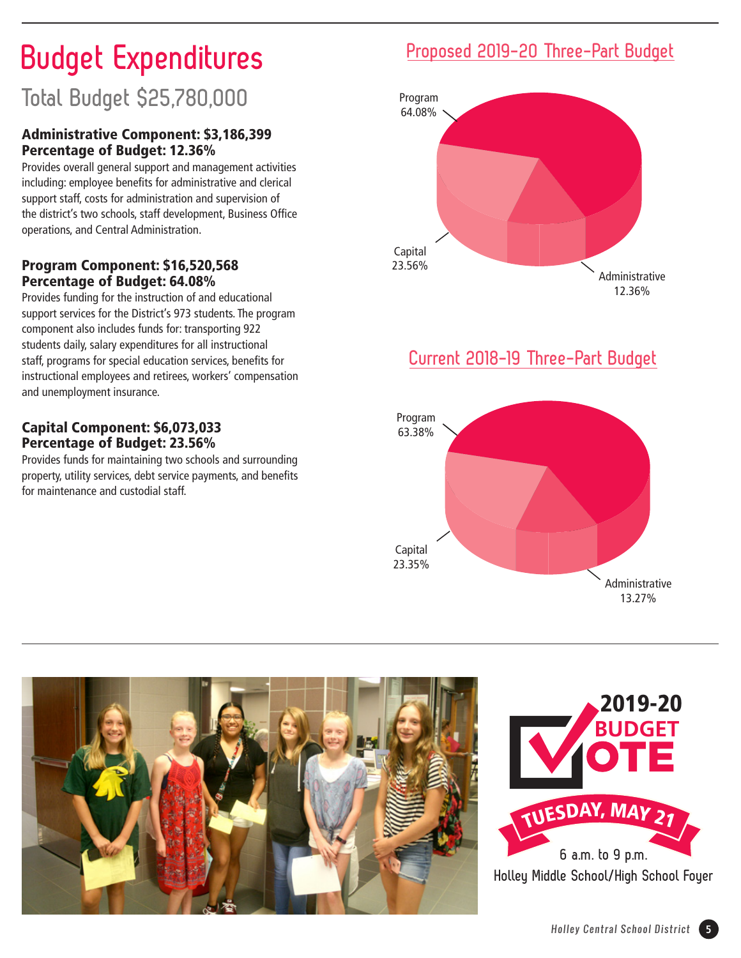# **Budget Expenditures**

# **Total Budget \$25,780,000**

### Administrative Component: \$3,186,399 Percentage of Budget: 12.36%

Provides overall general support and management activities including: employee benefits for administrative and clerical support staff, costs for administration and supervision of the district's two schools, staff development, Business Office operations, and Central Administration.

#### Program Component: \$16,520,568 Percentage of Budget: 64.08%

Provides funding for the instruction of and educational support services for the District's 973 students. The program component also includes funds for: transporting 922 students daily, salary expenditures for all instructional staff, programs for special education services, benefits for instructional employees and retirees, workers' compensation and unemployment insurance.

#### Capital Component: \$6,073,033 Percentage of Budget: 23.56%

Provides funds for maintaining two schools and surrounding property, utility services, debt service payments, and benefits for maintenance and custodial staff.

# **Proposed 2019-20 Three-Part Budget**



## **Current 2018-19 Three-Part Budget**



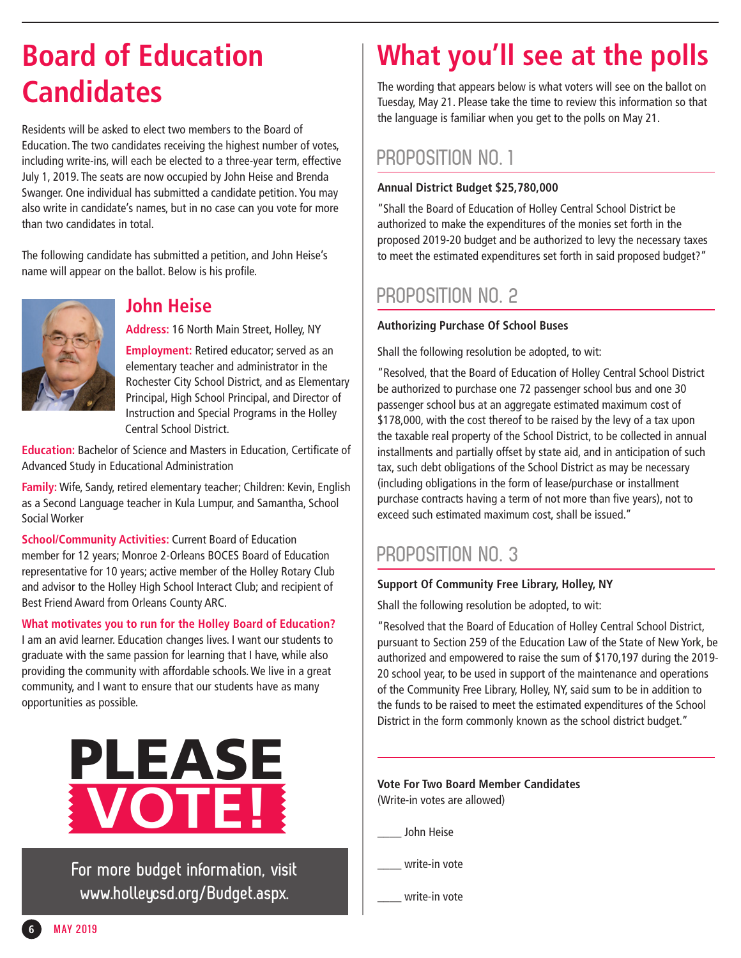# **Candidates**

Residents will be asked to elect two members to the Board of Education. The two candidates receiving the highest number of votes, including write-ins, will each be elected to a three-year term, effective July 1, 2019. The seats are now occupied by John Heise and Brenda Swanger. One individual has submitted a candidate petition. You may also write in candidate's names, but in no case can you vote for more than two candidates in total.

The following candidate has submitted a petition, and John Heise's name will appear on the ballot. Below is his profile.



## **John Heise**

**Address:** 16 North Main Street, Holley, NY

**Employment:** Retired educator; served as an elementary teacher and administrator in the Rochester City School District, and as Elementary Principal, High School Principal, and Director of Instruction and Special Programs in the Holley Central School District.

**Education:** Bachelor of Science and Masters in Education, Certificate of Advanced Study in Educational Administration

**Family:** Wife, Sandy, retired elementary teacher; Children: Kevin, English as a Second Language teacher in Kula Lumpur, and Samantha, School Social Worker

**School/Community Activities:** Current Board of Education member for 12 years; Monroe 2-Orleans BOCES Board of Education representative for 10 years; active member of the Holley Rotary Club and advisor to the Holley High School Interact Club; and recipient of Best Friend Award from Orleans County ARC.

**What motivates you to run for the Holley Board of Education?**

I am an avid learner. Education changes lives. I want our students to graduate with the same passion for learning that I have, while also providing the community with affordable schools. We live in a great community, and I want to ensure that our students have as many opportunities as possible.



**For more budget information, visit www.holleycsd.org/Budget.aspx.**

# **Board of Education What you'll see at the polls**

The wording that appears below is what voters will see on the ballot on Tuesday, May 21. Please take the time to review this information so that the language is familiar when you get to the polls on May 21.

## **PROPOSITION NO. 1**

#### **Annual District Budget \$25,780,000**

"Shall the Board of Education of Holley Central School District be authorized to make the expenditures of the monies set forth in the proposed 2019-20 budget and be authorized to levy the necessary taxes to meet the estimated expenditures set forth in said proposed budget?"

# **PROPOSITION NO. 2**

#### **Authorizing Purchase Of School Buses**

Shall the following resolution be adopted, to wit:

"Resolved, that the Board of Education of Holley Central School District be authorized to purchase one 72 passenger school bus and one 30 passenger school bus at an aggregate estimated maximum cost of \$178,000, with the cost thereof to be raised by the levy of a tax upon the taxable real property of the School District, to be collected in annual installments and partially offset by state aid, and in anticipation of such tax, such debt obligations of the School District as may be necessary (including obligations in the form of lease/purchase or installment purchase contracts having a term of not more than five years), not to exceed such estimated maximum cost, shall be issued."

## **PROPOSITION NO. 3**

#### **Support Of Community Free Library, Holley, NY**

Shall the following resolution be adopted, to wit:

"Resolved that the Board of Education of Holley Central School District, pursuant to Section 259 of the Education Law of the State of New York, be authorized and empowered to raise the sum of \$170,197 during the 2019- 20 school year, to be used in support of the maintenance and operations of the Community Free Library, Holley, NY, said sum to be in addition to the funds to be raised to meet the estimated expenditures of the School District in the form commonly known as the school district budget."

**Vote For Two Board Member Candidates**  (Write-in votes are allowed)

\_\_\_\_ John Heise

write-in vote

write-in vote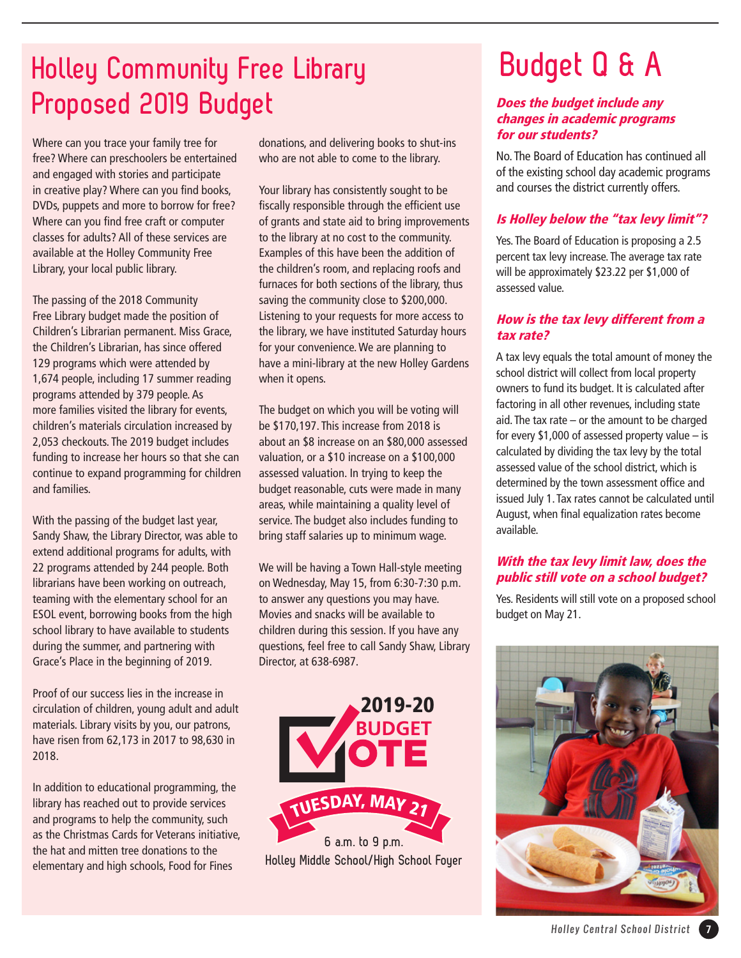# **Holley Community Free Library Proposed 2019 Budget**

Where can you trace your family tree for free? Where can preschoolers be entertained and engaged with stories and participate in creative play? Where can you find books, DVDs, puppets and more to borrow for free? Where can you find free craft or computer classes for adults? All of these services are available at the Holley Community Free Library, your local public library.

The passing of the 2018 Community Free Library budget made the position of Children's Librarian permanent. Miss Grace, the Children's Librarian, has since offered 129 programs which were attended by 1,674 people, including 17 summer reading programs attended by 379 people. As more families visited the library for events, children's materials circulation increased by 2,053 checkouts. The 2019 budget includes funding to increase her hours so that she can continue to expand programming for children and families.

With the passing of the budget last year, Sandy Shaw, the Library Director, was able to extend additional programs for adults, with 22 programs attended by 244 people. Both librarians have been working on outreach, teaming with the elementary school for an ESOL event, borrowing books from the high school library to have available to students during the summer, and partnering with Grace's Place in the beginning of 2019.

Proof of our success lies in the increase in circulation of children, young adult and adult materials. Library visits by you, our patrons, have risen from 62,173 in 2017 to 98,630 in 2018.

In addition to educational programming, the library has reached out to provide services and programs to help the community, such as the Christmas Cards for Veterans initiative, the hat and mitten tree donations to the elementary and high schools, Food for Fines

donations, and delivering books to shut-ins who are not able to come to the library.

Your library has consistently sought to be fiscally responsible through the efficient use of grants and state aid to bring improvements to the library at no cost to the community. Examples of this have been the addition of the children's room, and replacing roofs and furnaces for both sections of the library, thus saving the community close to \$200,000. Listening to your requests for more access to the library, we have instituted Saturday hours for your convenience. We are planning to have a mini-library at the new Holley Gardens when it opens.

The budget on which you will be voting will be \$170,197. This increase from 2018 is about an \$8 increase on an \$80,000 assessed valuation, or a \$10 increase on a \$100,000 assessed valuation. In trying to keep the budget reasonable, cuts were made in many areas, while maintaining a quality level of service. The budget also includes funding to bring staff salaries up to minimum wage.

We will be having a Town Hall-style meeting on Wednesday, May 15, from 6:30-7:30 p.m. to answer any questions you may have. Movies and snacks will be available to children during this session. If you have any questions, feel free to call Sandy Shaw, Library Director, at 638-6987.



# **Budget Q & A**

#### Does the budget include any changes in academic programs for our students?

No. The Board of Education has continued all of the existing school day academic programs and courses the district currently offers.

## Is Holley below the "tax levy limit"?

Yes. The Board of Education is proposing a 2.5 percent tax levy increase. The average tax rate will be approximately \$23.22 per \$1,000 of assessed value.

#### How is the tax levy different from a tax rate?

A tax levy equals the total amount of money the school district will collect from local property owners to fund its budget. It is calculated after factoring in all other revenues, including state aid. The tax rate – or the amount to be charged for every \$1,000 of assessed property value  $-$  is calculated by dividing the tax levy by the total assessed value of the school district, which is determined by the town assessment office and issued July 1. Tax rates cannot be calculated until August, when final equalization rates become available.

#### With the tax levy limit law, does the public still vote on a school budget?

Yes. Residents will still vote on a proposed school budget on May 21.